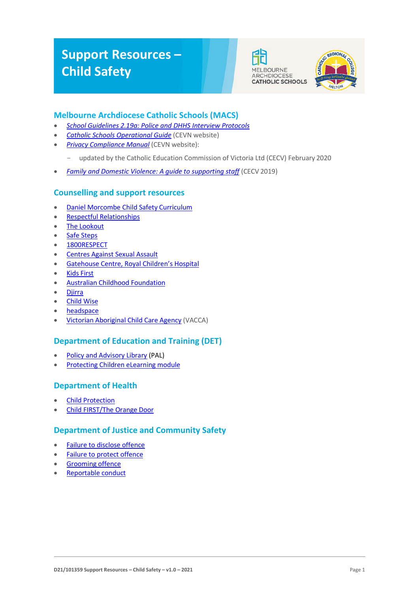# **Support Resources – Child Safety**





## **Melbourne Archdiocese Catholic Schools (MACS)**

- *[School Guidelines 2.19a: Police and DHHS Interview Protocols](https://www.macs.vic.edu.au/About-Us/Policies/Police-and-DHHS-Interview-Protocols.aspx)*
- *[Catholic Schools Operational Guide](https://cevn.cecv.catholic.edu.au/Melb/Document-File/CSOG/Index/Catholic-Schools-Operation-Guide.pdf)* (CEVN website)
- *[Privacy Compliance Manual](https://cevn.cecv.catholic.edu.au/Melb/Document-File/Polices-Compliance-and-Legal/Privacy/Privacy-Compliance-Manual)* (CEVN website):
	- updated by the Catholic Education Commission of Victoria Ltd (CECV) February 2020
- *[Family and Domestic Violence: A guide to supporting staff](https://www.cecv.catholic.edu.au/Media-Files/IR/Policies-Guidelines/Family-Domestic-Violence/Guide-to-family-and-domestic-violence-(1).aspx)* (CECV 2019)

## **Counselling and support resources**

- [Daniel Morcombe Child Safety](https://danielmorcombe.com.au/wp-content/uploads/2019/02/Daniel_Morcombe_Child_Safety_Curriculum_Access.pdf) Curriculum
- Respectful [Relationships](https://www.education.vic.gov.au/about/programs/Pages/respectfulrelationships.aspx)
- The [Lookout](http://www.thelookout.org.au/)
- [Safe Steps](http://www.safesteps.org.au/)
- [1800RESPECT](http://www.1800respect.org.au/)
- [Centres Against Sexual](http://www.casa.org.au/) Assault
- [Gatehouse Centre, Royal Children's](http://www.rch.org.au/gatehouse/) Hospital
- Kids [First](https://www.kidsfirstaustralia.org.au/)
- [Australian Childhood](http://www.childhood.org.au/) Foundation
- [Djirra](https://djirra.org.au/)
- **[Child](http://www.childwise.org.au/) Wise**
- [headspace](http://headspace.org.au/)
- [Victorian Aboriginal Child Care Agency](https://www.vacca.org/) (VACCA)

### **Department of Education and Training (DET)**

- [Policy and Advisory Library](https://www2.education.vic.gov.au/pal) (PAL)
- Protecting [Children eLearning](http://www.elearn.com.au/deecd/mandatoryreporting) module

### **Department of Health**

- Child [Protection](https://services.dhhs.vic.gov.au/child-protection)
- [Child FIRST/The Orange](https://services.dhhs.vic.gov.au/child-first-and-family-services) Door

### **Department of Justice and Community Safety**

- [Failure to disclose](https://www.justice.vic.gov.au/safer-communities/protecting-children-and-families/failure-to-disclose-offence) offence
- [Failure to protect](https://www.justice.vic.gov.au/safer-communities/protecting-children-and-families/failure-to-protect-a-new-criminal-offence-to) offence
- [Grooming](https://www.justice.vic.gov.au/safer-communities/protecting-children-and-families/grooming-offence) offence
- [Reportable](https://www.justice.vic.gov.au/about-the-department/the-department-of-justice-and-community-safety-and-the-reportable-conduct) conduct